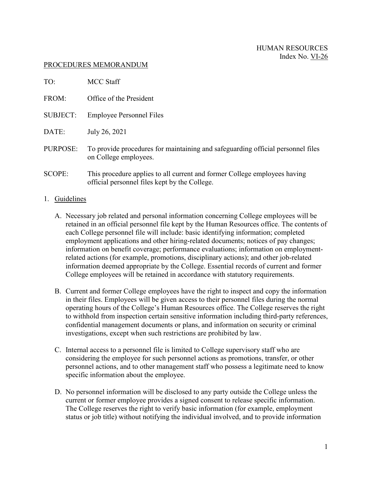## PROCEDURES MEMORANDUM

| TO:             | MCC Staff                                                                                                                  |
|-----------------|----------------------------------------------------------------------------------------------------------------------------|
| FROM:           | Office of the President                                                                                                    |
| <b>SUBJECT:</b> | <b>Employee Personnel Files</b>                                                                                            |
| DATE:           | July 26, 2021                                                                                                              |
| PURPOSE:        | To provide procedures for maintaining and safeguarding official personnel files<br>on College employees.                   |
| <b>SCOPE:</b>   | This procedure applies to all current and former College employees having<br>official personnel files kept by the College. |

## 1. Guidelines

- A. Necessary job related and personal information concerning College employees will be retained in an official personnel file kept by the Human Resources office. The contents of each College personnel file will include: basic identifying information; completed employment applications and other hiring-related documents; notices of pay changes; information on benefit coverage; performance evaluations; information on employmentrelated actions (for example, promotions, disciplinary actions); and other job-related information deemed appropriate by the College. Essential records of current and former College employees will be retained in accordance with statutory requirements.
- B. Current and former College employees have the right to inspect and copy the information in their files. Employees will be given access to their personnel files during the normal operating hours of the College's Human Resources office. The College reserves the right to withhold from inspection certain sensitive information including third-party references, confidential management documents or plans, and information on security or criminal investigations, except when such restrictions are prohibited by law.
- C. Internal access to a personnel file is limited to College supervisory staff who are considering the employee for such personnel actions as promotions, transfer, or other personnel actions, and to other management staff who possess a legitimate need to know specific information about the employee.
- D. No personnel information will be disclosed to any party outside the College unless the current or former employee provides a signed consent to release specific information. The College reserves the right to verify basic information (for example, employment status or job title) without notifying the individual involved, and to provide information